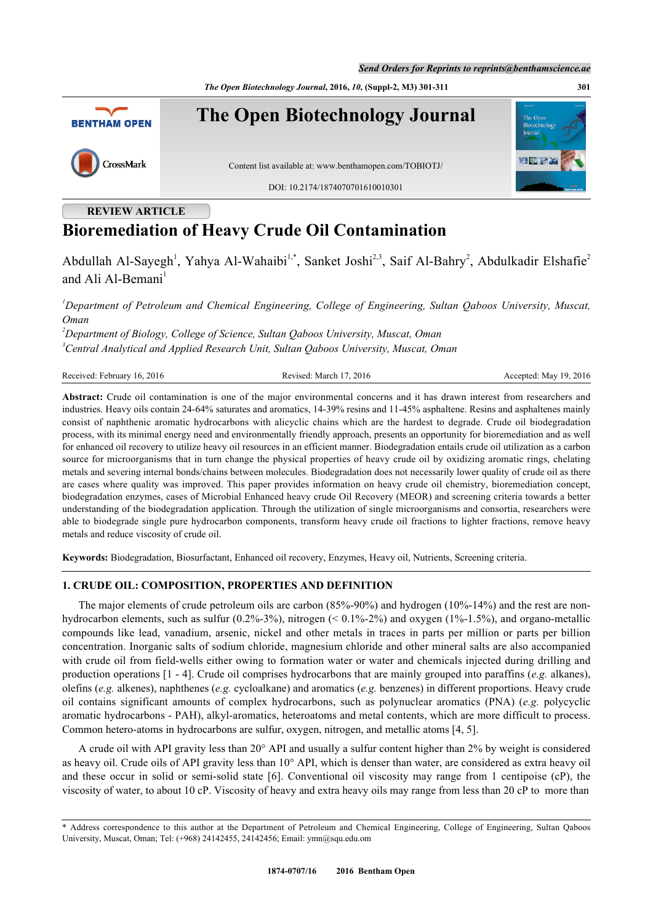*The Open Biotechnology Journal***, 2016,** *10***, (Suppl-2, M3) 301-311 301**



# **REVIEW ARTICLE**

# **Bioremediation of Heavy Crude Oil Contamination**

Abdullah Al-Sayegh<sup>[1](#page-0-0)</sup>, Yahya Al-Wahaibi<sup>1[,\\*](#page-0-1)</sup>, Sanket Joshi<sup>[2](#page-0-2),[3](#page-0-3)</sup>, Saif Al-Bahry<sup>2</sup>, Abdulkadir Elshafie<sup>2</sup> and Ali Al-Bemani<sup>[1](#page-0-0)</sup>

<span id="page-0-0"></span>*<sup>1</sup>Department of Petroleum and Chemical Engineering, College of Engineering, Sultan Qaboos University, Muscat, Oman*

<span id="page-0-3"></span><span id="page-0-2"></span>*<sup>2</sup>Department of Biology, College of Science, Sultan Qaboos University, Muscat, Oman <sup>3</sup>Central Analytical and Applied Research Unit, Sultan Qaboos University, Muscat, Oman*

```
Received: February 16, 2016 Revised: March 17, 2016 Revised: March 17, 2016 Accepted: May 19, 2016
```
**Abstract:** Crude oil contamination is one of the major environmental concerns and it has drawn interest from researchers and industries. Heavy oils contain 24-64% saturates and aromatics, 14-39% resins and 11-45% asphaltene. Resins and asphaltenes mainly consist of naphthenic aromatic hydrocarbons with alicyclic chains which are the hardest to degrade. Crude oil biodegradation process, with its minimal energy need and environmentally friendly approach, presents an opportunity for bioremediation and as well for enhanced oil recovery to utilize heavy oil resources in an efficient manner. Biodegradation entails crude oil utilization as a carbon source for microorganisms that in turn change the physical properties of heavy crude oil by oxidizing aromatic rings, chelating metals and severing internal bonds/chains between molecules. Biodegradation does not necessarily lower quality of crude oil as there are cases where quality was improved. This paper provides information on heavy crude oil chemistry, bioremediation concept, biodegradation enzymes, cases of Microbial Enhanced heavy crude Oil Recovery (MEOR) and screening criteria towards a better understanding of the biodegradation application. Through the utilization of single microorganisms and consortia, researchers were able to biodegrade single pure hydrocarbon components, transform heavy crude oil fractions to lighter fractions, remove heavy metals and reduce viscosity of crude oil.

**Keywords:** Biodegradation, Biosurfactant, Enhanced oil recovery, Enzymes, Heavy oil, Nutrients, Screening criteria.

#### **1. CRUDE OIL: COMPOSITION, PROPERTIES AND DEFINITION**

The major elements of crude petroleum oils are carbon (85%-90%) and hydrogen (10%-14%) and the rest are nonhydrocarbon elements, such as sulfur (0.2%-3%), nitrogen (< 0.1%-2%) and oxygen (1%-1.5%), and organo-metallic compounds like lead, vanadium, arsenic, nickel and other metals in traces in parts per million or parts per billion concentration. Inorganic salts of sodium chloride, magnesium chloride and other mineral salts are also accompanied with crude oil from field-wells either owing to formation water or water and chemicals injected during drilling and production operations [\[1](#page-6-0) - [4](#page-6-1)]. Crude oil comprises hydrocarbons that are mainly grouped into paraffins (*e.g.* alkanes), olefins (*e.g.* alkenes), naphthenes (*e.g.* cycloalkane) and aromatics (*e.g.* benzenes) in different proportions. Heavy crude oil contains significant amounts of complex hydrocarbons, such as polynuclear aromatics (PNA) (*e.g.* polycyclic aromatic hydrocarbons - PAH), alkyl-aromatics, heteroatoms and metal contents, which are more difficult to process. Common hetero-atoms in hydrocarbons are sulfur, oxygen, nitrogen, and metallic atoms [[4,](#page-6-1) [5\]](#page-6-2).

A crude oil with API gravity less than 20° API and usually a sulfur content higher than 2% by weight is considered as heavy oil. Crude oils of API gravity less than 10° API, which is denser than water, are considered as extra heavy oil and these occur in solid or semi-solid state[[6\]](#page-7-0). Conventional oil viscosity may range from 1 centipoise (cP), the viscosity of water, to about 10 cP. Viscosity of heavy and extra heavy oils may range from less than 20 cP to more than

<span id="page-0-1"></span><sup>\*</sup> Address correspondence to this author at the Department of Petroleum and Chemical Engineering, College of Engineering, Sultan Qaboos University, Muscat, Oman; Tel: (+968) 24142455, 24142456; Email: [ymn@squ.edu.om](mailto:ymn@squ.edu.om)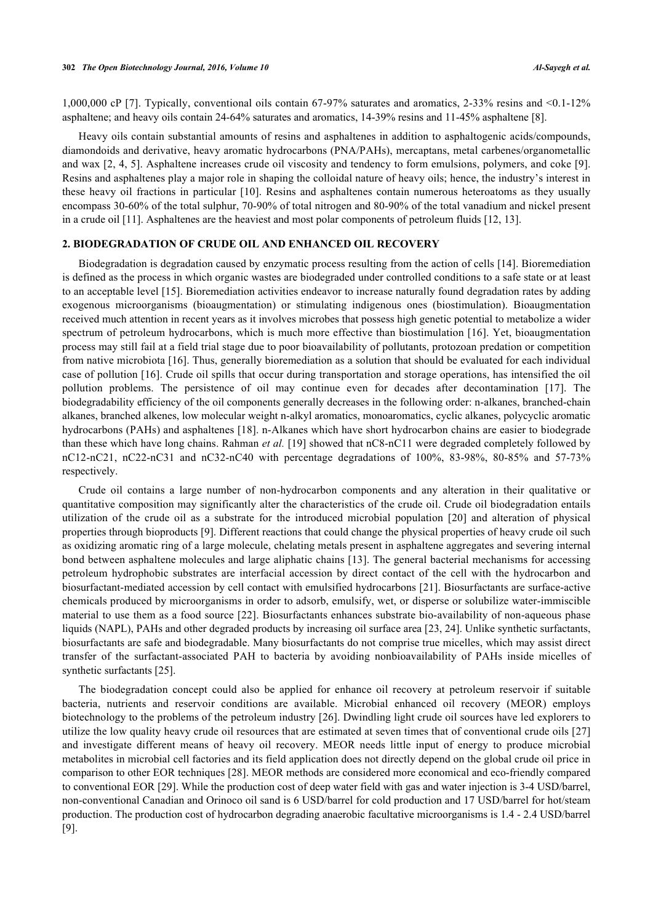1,000,000 cP [[7\]](#page-7-1). Typically, conventional oils contain 67-97% saturates and aromatics, 2-33% resins and <0.1-12% asphaltene; and heavy oils contain 24-64% saturates and aromatics, 14-39% resins and 11-45% asphaltene [[8\]](#page-7-2).

Heavy oils contain substantial amounts of resins and asphaltenes in addition to asphaltogenic acids/compounds, diamondoids and derivative, heavy aromatic hydrocarbons (PNA/PAHs), mercaptans, metal carbenes/organometallic and wax [[2,](#page-6-3) [4,](#page-6-1) [5](#page-6-2)]. Asphaltene increases crude oil viscosity and tendency to form emulsions, polymers, and coke [[9\]](#page-7-3). Resins and asphaltenes play a major role in shaping the colloidal nature of heavy oils; hence, the industry's interest in these heavy oil fractions in particular [[10\]](#page-7-4). Resins and asphaltenes contain numerous heteroatoms as they usually encompass 30-60% of the total sulphur, 70-90% of total nitrogen and 80-90% of the total vanadium and nickel present in a crude oil [\[11](#page-7-5)]. Asphaltenes are the heaviest and most polar components of petroleum fluids [[12,](#page-7-6) [13\]](#page-7-7).

#### **2. BIODEGRADATION OF CRUDE OIL AND ENHANCED OIL RECOVERY**

Biodegradation is degradation caused by enzymatic process resulting from the action of cells [[14\]](#page-7-8). Bioremediation is defined as the process in which organic wastes are biodegraded under controlled conditions to a safe state or at least to an acceptable level [[15\]](#page-7-9). Bioremediation activities endeavor to increase naturally found degradation rates by adding exogenous microorganisms (bioaugmentation) or stimulating indigenous ones (biostimulation). Bioaugmentation received much attention in recent years as it involves microbes that possess high genetic potential to metabolize a wider spectrum of petroleum hydrocarbons, which is much more effective than biostimulation [[16](#page-7-10)]. Yet, bioaugmentation process may still fail at a field trial stage due to poor bioavailability of pollutants, protozoan predation or competition from native microbiota [[16\]](#page-7-10). Thus, generally bioremediation as a solution that should be evaluated for each individual case of pollution [[16](#page-7-10)]. Crude oil spills that occur during transportation and storage operations, has intensified the oil pollution problems. The persistence of oil may continue even for decades after decontamination[[17\]](#page-7-11). The biodegradability efficiency of the oil components generally decreases in the following order: n-alkanes, branched-chain alkanes, branched alkenes, low molecular weight n-alkyl aromatics, monoaromatics, cyclic alkanes, polycyclic aromatic hydrocarbons (PAHs) and asphaltenes [[18](#page-7-12)]. n-Alkanes which have short hydrocarbon chains are easier to biodegrade than these which have long chains. Rahman *et al.* [[19\]](#page-7-13) showed that nC8-nC11 were degraded completely followed by nC12-nC21, nC22-nC31 and nC32-nC40 with percentage degradations of 100%, 83-98%, 80-85% and 57-73% respectively.

Crude oil contains a large number of non-hydrocarbon components and any alteration in their qualitative or quantitative composition may significantly alter the characteristics of the crude oil. Crude oil biodegradation entails utilization of the crude oil as a substrate for the introduced microbial population[[20](#page-7-14)] and alteration of physical properties through bioproducts [\[9](#page-7-3)]. Different reactions that could change the physical properties of heavy crude oil such as oxidizing aromatic ring of a large molecule, chelating metals present in asphaltene aggregates and severing internal bond between asphaltene molecules and large aliphatic chains [[13](#page-7-7)]. The general bacterial mechanisms for accessing petroleum hydrophobic substrates are interfacial accession by direct contact of the cell with the hydrocarbon and biosurfactant-mediated accession by cell contact with emulsified hydrocarbons [[21](#page-7-15)]. Biosurfactants are surface-active chemicals produced by microorganisms in order to adsorb, emulsify, wet, or disperse or solubilize water-immiscible material to use them as a food source [[22](#page-7-16)]. Biosurfactants enhances substrate bio-availability of non-aqueous phase liquids (NAPL), PAHs and other degraded products by increasing oil surface area [[23,](#page-7-17) [24\]](#page-7-18). Unlike synthetic surfactants, biosurfactants are safe and biodegradable. Many biosurfactants do not comprise true micelles, which may assist direct transfer of the surfactant-associated PAH to bacteria by avoiding nonbioavailability of PAHs inside micelles of synthetic surfactants [\[25](#page-7-19)].

The biodegradation concept could also be applied for enhance oil recovery at petroleum reservoir if suitable bacteria, nutrients and reservoir conditions are available. Microbial enhanced oil recovery (MEOR) employs biotechnology to the problems of the petroleum industry [[26](#page-7-20)]. Dwindling light crude oil sources have led explorers to utilize the low quality heavy crude oil resources that are estimated at seven times that of conventional crude oils [[27](#page-7-21)] and investigate different means of heavy oil recovery. MEOR needs little input of energy to produce microbial metabolites in microbial cell factories and its field application does not directly depend on the global crude oil price in comparison to other EOR techniques [\[28](#page-8-0)]. MEOR methods are considered more economical and eco-friendly compared to conventional EOR [\[29](#page-8-1)]. While the production cost of deep water field with gas and water injection is 3-4 USD/barrel, non-conventional Canadian and Orinoco oil sand is 6 USD/barrel for cold production and 17 USD/barrel for hot/steam production. The production cost of hydrocarbon degrading anaerobic facultative microorganisms is 1.4 - 2.4 USD/barrel [\[9](#page-7-3)].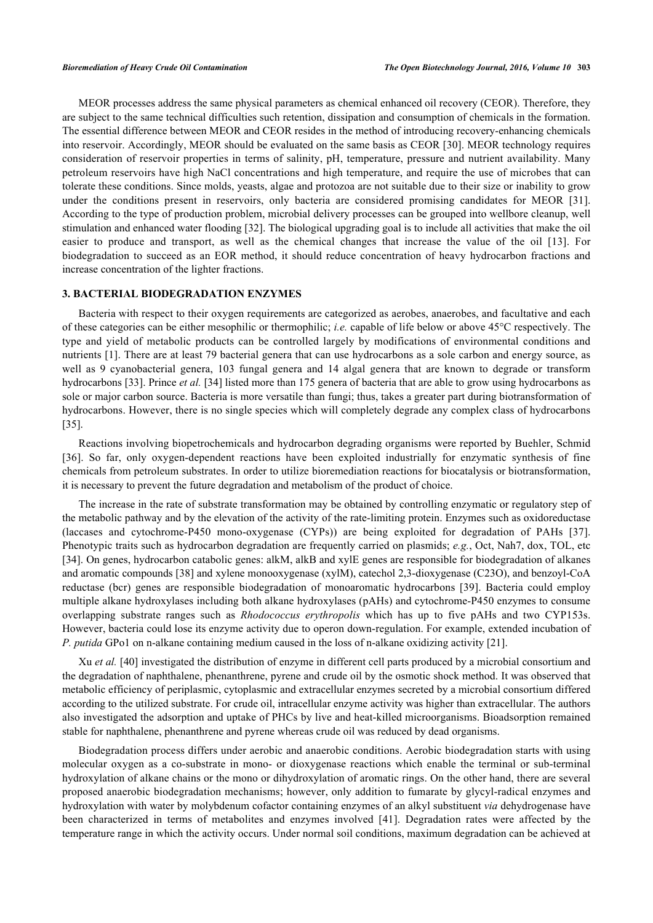MEOR processes address the same physical parameters as chemical enhanced oil recovery (CEOR). Therefore, they are subject to the same technical difficulties such retention, dissipation and consumption of chemicals in the formation. The essential difference between MEOR and CEOR resides in the method of introducing recovery-enhancing chemicals into reservoir. Accordingly, MEOR should be evaluated on the same basis as CEOR [\[30](#page-8-2)]. MEOR technology requires consideration of reservoir properties in terms of salinity, pH, temperature, pressure and nutrient availability. Many petroleum reservoirs have high NaCl concentrations and high temperature, and require the use of microbes that can tolerate these conditions. Since molds, yeasts, algae and protozoa are not suitable due to their size or inability to grow under the conditions present in reservoirs, only bacteria are considered promising candidates for MEOR [\[31\]](#page-8-3). According to the type of production problem, microbial delivery processes can be grouped into wellbore cleanup, well stimulation and enhanced water flooding [\[32](#page-8-4)]. The biological upgrading goal is to include all activities that make the oil easier to produce and transport, as well as the chemical changes that increase the value of the oil[[13](#page-7-7)]. For biodegradation to succeed as an EOR method, it should reduce concentration of heavy hydrocarbon fractions and increase concentration of the lighter fractions.

#### **3. BACTERIAL BIODEGRADATION ENZYMES**

Bacteria with respect to their oxygen requirements are categorized as aerobes, anaerobes, and facultative and each of these categories can be either mesophilic or thermophilic; *i.e.* capable of life below or above 45°C respectively. The type and yield of metabolic products can be controlled largely by modifications of environmental conditions and nutrients [[1](#page-6-0)]. There are at least 79 bacterial genera that can use hydrocarbons as a sole carbon and energy source, as well as 9 cyanobacterial genera, 103 fungal genera and 14 algal genera that are known to degrade or transform hydrocarbons [\[33](#page-8-5)]. Prince *et al.* [\[34](#page-8-6)] listed more than 175 genera of bacteria that are able to grow using hydrocarbons as sole or major carbon source. Bacteria is more versatile than fungi; thus, takes a greater part during biotransformation of hydrocarbons. However, there is no single species which will completely degrade any complex class of hydrocarbons [\[35](#page-8-7)].

Reactions involving biopetrochemicals and hydrocarbon degrading organisms were reported by Buehler, Schmid [\[36](#page-8-8)]. So far, only oxygen-dependent reactions have been exploited industrially for enzymatic synthesis of fine chemicals from petroleum substrates. In order to utilize bioremediation reactions for biocatalysis or biotransformation, it is necessary to prevent the future degradation and metabolism of the product of choice.

The increase in the rate of substrate transformation may be obtained by controlling enzymatic or regulatory step of the metabolic pathway and by the elevation of the activity of the rate-limiting protein. Enzymes such as oxidoreductase (laccases and cytochrome-P450 mono-oxygenase (CYPs)) are being exploited for degradation of PAHs [\[37\]](#page-8-9). Phenotypic traits such as hydrocarbon degradation are frequently carried on plasmids; *e.g.*, Oct, Nah7, dox, TOL, etc [\[34](#page-8-6)]. On genes, hydrocarbon catabolic genes: alkM, alkB and xylE genes are responsible for biodegradation of alkanes and aromatic compounds [[38\]](#page-8-10) and xylene monooxygenase (xylM), catechol 2,3-dioxygenase (C23O), and benzoyl-CoA reductase (bcr) genes are responsible biodegradation of monoaromatic hydrocarbons[[39\]](#page-8-11). Bacteria could employ multiple alkane hydroxylases including both alkane hydroxylases (pAHs) and cytochrome-P450 enzymes to consume overlapping substrate ranges such as *Rhodococcus erythropolis* which has up to five pAHs and two CYP153s. However, bacteria could lose its enzyme activity due to operon down-regulation. For example, extended incubation of *P. putida* GPo1 on n-alkane containing medium caused in the loss of n-alkane oxidizing activity [\[21](#page-7-15)].

Xu *et al.* [[40\]](#page-8-12) investigated the distribution of enzyme in different cell parts produced by a microbial consortium and the degradation of naphthalene, phenanthrene, pyrene and crude oil by the osmotic shock method. It was observed that metabolic efficiency of periplasmic, cytoplasmic and extracellular enzymes secreted by a microbial consortium differed according to the utilized substrate. For crude oil, intracellular enzyme activity was higher than extracellular. The authors also investigated the adsorption and uptake of PHCs by live and heat-killed microorganisms. Bioadsorption remained stable for naphthalene, phenanthrene and pyrene whereas crude oil was reduced by dead organisms.

Biodegradation process differs under aerobic and anaerobic conditions. Aerobic biodegradation starts with using molecular oxygen as a co-substrate in mono- or dioxygenase reactions which enable the terminal or sub-terminal hydroxylation of alkane chains or the mono or dihydroxylation of aromatic rings. On the other hand, there are several proposed anaerobic biodegradation mechanisms; however, only addition to fumarate by glycyl-radical enzymes and hydroxylation with water by molybdenum cofactor containing enzymes of an alkyl substituent *via* dehydrogenase have been characterized in terms of metabolites and enzymes involved[[41](#page-8-13)]. Degradation rates were affected by the temperature range in which the activity occurs. Under normal soil conditions, maximum degradation can be achieved at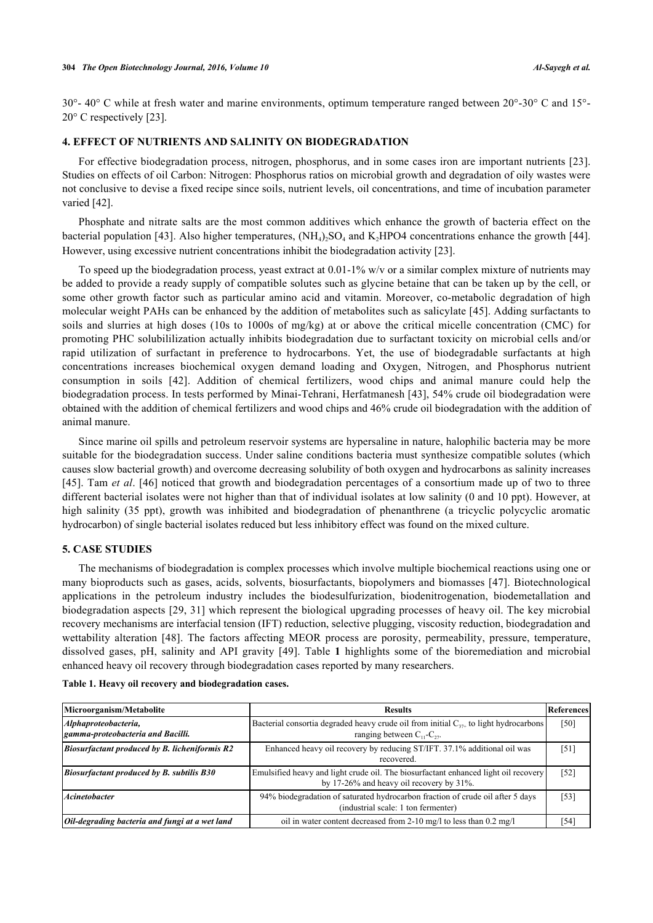30°- 40° C while at fresh water and marine environments, optimum temperature ranged between 20°-30° C and 15°- 20° C respectively [[23\]](#page-7-17).

#### **4. EFFECT OF NUTRIENTS AND SALINITY ON BIODEGRADATION**

For effective biodegradation process, nitrogen, phosphorus, and in some cases iron are important nutrients [\[23\]](#page-7-17). Studies on effects of oil Carbon: Nitrogen: Phosphorus ratios on microbial growth and degradation of oily wastes were not conclusive to devise a fixed recipe since soils, nutrient levels, oil concentrations, and time of incubation parameter varied [[42\]](#page-8-14).

Phosphate and nitrate salts are the most common additives which enhance the growth of bacteria effect on the bacterial population [\[43\]](#page-8-15). Also higher temperatures,  $(NH_4)_2SO_4$  and  $K_2HPO4$  concentrations enhance the growth [[44\]](#page-8-16). However, using excessive nutrient concentrations inhibit the biodegradation activity [\[23](#page-7-17)].

To speed up the biodegradation process, yeast extract at 0.01-1% w/v or a similar complex mixture of nutrients may be added to provide a ready supply of compatible solutes such as glycine betaine that can be taken up by the cell, or some other growth factor such as particular amino acid and vitamin. Moreover, co-metabolic degradation of high molecular weight PAHs can be enhanced by the addition of metabolites such as salicylate [\[45\]](#page-8-17). Adding surfactants to soils and slurries at high doses (10s to 1000s of mg/kg) at or above the critical micelle concentration (CMC) for promoting PHC solubililization actually inhibits biodegradation due to surfactant toxicity on microbial cells and/or rapid utilization of surfactant in preference to hydrocarbons. Yet, the use of biodegradable surfactants at high concentrations increases biochemical oxygen demand loading and Oxygen, Nitrogen, and Phosphorus nutrient consumption in soils [\[42\]](#page-8-14). Addition of chemical fertilizers, wood chips and animal manure could help the biodegradation process. In tests performed by Minai-Tehrani, Herfatmanesh [\[43\]](#page-8-15), 54% crude oil biodegradation were obtained with the addition of chemical fertilizers and wood chips and 46% crude oil biodegradation with the addition of animal manure.

Since marine oil spills and petroleum reservoir systems are hypersaline in nature, halophilic bacteria may be more suitable for the biodegradation success. Under saline conditions bacteria must synthesize compatible solutes (which causes slow bacterial growth) and overcome decreasing solubility of both oxygen and hydrocarbons as salinity increases [\[45](#page-8-17)]. Tam *et al*. [\[46\]](#page-8-18) noticed that growth and biodegradation percentages of a consortium made up of two to three different bacterial isolates were not higher than that of individual isolates at low salinity (0 and 10 ppt). However, at high salinity (35 ppt), growth was inhibited and biodegradation of phenanthrene (a tricyclic polycyclic aromatic hydrocarbon) of single bacterial isolates reduced but less inhibitory effect was found on the mixed culture.

#### **5. CASE STUDIES**

The mechanisms of biodegradation is complex processes which involve multiple biochemical reactions using one or many bioproducts such as gases, acids, solvents, biosurfactants, biopolymers and biomasses [[47](#page-8-19)]. Biotechnological applications in the petroleum industry includes the biodesulfurization, biodenitrogenation, biodemetallation and biodegradation aspects [[29,](#page-8-1) [31\]](#page-8-3) which represent the biological upgrading processes of heavy oil. The key microbial recovery mechanisms are interfacial tension (IFT) reduction, selective plugging, viscosity reduction, biodegradation and wettability alteration[[48](#page-8-20)]. The factors affecting MEOR process are porosity, permeability, pressure, temperature, dissolved gases, pH, salinity and API gravity[[49\]](#page-8-21). Table**1** highlights some of the bioremediation and microbial enhanced heavy oil recovery through biodegradation cases reported by many researchers.

<span id="page-3-0"></span>

|  |  |  |  |  |  | Table 1. Heavy oil recovery and biodegradation cases. |  |
|--|--|--|--|--|--|-------------------------------------------------------|--|
|--|--|--|--|--|--|-------------------------------------------------------|--|

| Microorganism/Metabolite                                          | References<br><b>Results</b>                                                                                                       |      |  |
|-------------------------------------------------------------------|------------------------------------------------------------------------------------------------------------------------------------|------|--|
| Alphaproteobacteria,<br>gamma-proteobacteria and Bacilli.         | Bacterial consortia degraded heavy crude oil from initial $C_{37+}$ to light hydrocarbons<br>ranging between $C_{11}$ - $C_{22}$ . |      |  |
| <i>Biosurfactant produced by B. licheniformis <math>R2</math></i> | Enhanced heavy oil recovery by reducing ST/IFT. 37.1% additional oil was<br>recovered.                                             |      |  |
| <b>Biosurfactant produced by B. subtilis B30</b>                  | Emulsified heavy and light crude oil. The biosurfactant enhanced light oil recovery<br>by 17-26% and heavy oil recovery by 31%.    |      |  |
| <b>Acinetobacter</b>                                              | 94% biodegradation of saturated hydrocarbon fraction of crude oil after 5 days<br>(industrial scale: 1 ton fermenter)              |      |  |
| Oil-degrading bacteria and fungi at a wet land                    | oil in water content decreased from 2-10 mg/l to less than 0.2 mg/l                                                                | [54] |  |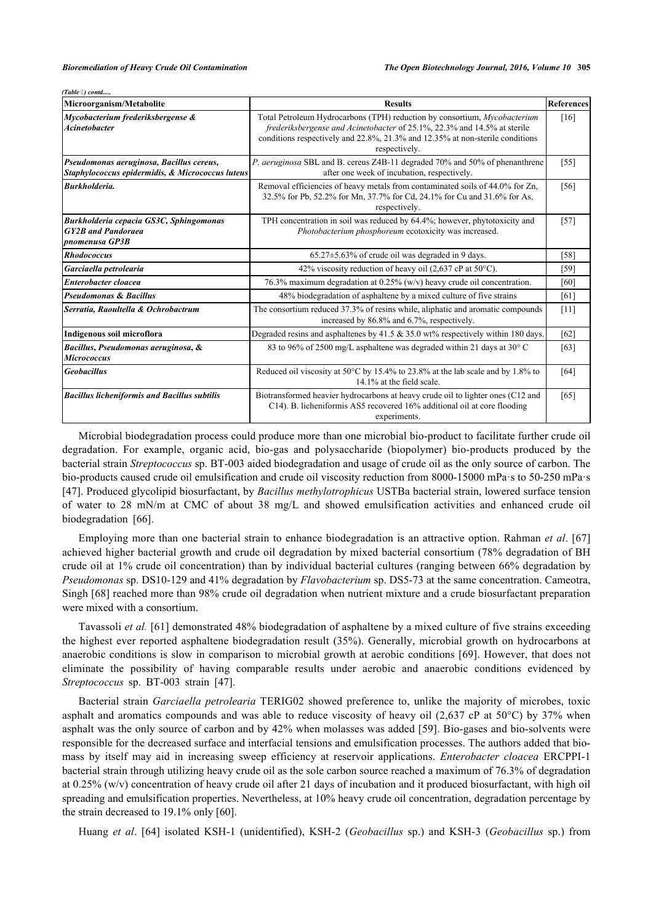*(Table ) contd.....*

| 1  31<br>Microorganism/Metabolite                                                            | <b>Results</b>                                                                                                                                                                                                                                          | <b>References</b> |
|----------------------------------------------------------------------------------------------|---------------------------------------------------------------------------------------------------------------------------------------------------------------------------------------------------------------------------------------------------------|-------------------|
| Mycobacterium frederiksbergense &<br><i><b>Acinetobacter</b></i>                             | Total Petroleum Hydrocarbons (TPH) reduction by consortium, Mycobacterium<br>frederiksbergense and Acinetobacter of 25.1%, 22.3% and 14.5% at sterile<br>conditions respectively and 22.8%, 21.3% and 12.35% at non-sterile conditions<br>respectively. |                   |
| Pseudomonas aeruginosa, Bacillus cereus,<br>Staphylococcus epidermidis, & Micrococcus luteus | P. aeruginosa SBL and B. cereus Z4B-11 degraded 70% and 50% of phenanthrene<br>after one week of incubation, respectively.                                                                                                                              |                   |
| <b>Burkholderia.</b>                                                                         | Removal efficiencies of heavy metals from contaminated soils of 44.0% for Zn,<br>32.5% for Pb, 52.2% for Mn, 37.7% for Cd, 24.1% for Cu and 31.6% for As,<br>respectively.                                                                              | [56]              |
| Burkholderia cepacia GS3C, Sphingomonas<br><b>GY2B</b> and Pandoraea<br>pnomenusa GP3B       | TPH concentration in soil was reduced by 64.4%; however, phytotoxicity and<br>Photobacterium phosphoreum ecotoxicity was increased.                                                                                                                     |                   |
| <b>Rhodococcus</b>                                                                           | $65.27 \pm 5.63\%$ of crude oil was degraded in 9 days.                                                                                                                                                                                                 | $[58]$            |
| Garciaella petrolearia                                                                       | 42% viscosity reduction of heavy oil (2,637 cP at $50^{\circ}$ C).                                                                                                                                                                                      | [59]              |
| Enterobacter cloacea                                                                         | 76.3% maximum degradation at 0.25% (w/v) heavy crude oil concentration.                                                                                                                                                                                 | [60]              |
| <b>Pseudomonas &amp; Bacillus</b>                                                            | 48% biodegradation of asphaltene by a mixed culture of five strains                                                                                                                                                                                     | [61]              |
| Serratia, Raoultella & Ochrobactrum                                                          | The consortium reduced 37.3% of resins while, aliphatic and aromatic compounds<br>increased by 86.8% and 6.7%, respectively.                                                                                                                            | [11]              |
| Indigenous soil microflora                                                                   | Degraded resins and asphaltenes by $41.5 \& 35.0$ wt% respectively within 180 days.                                                                                                                                                                     | [62]              |
| Bacillus, Pseudomonas aeruginosa, &<br><b>Micrococcus</b>                                    | 83 to 96% of 2500 mg/L asphaltene was degraded within 21 days at 30° C                                                                                                                                                                                  | [63]              |
| <b>Geobacillus</b>                                                                           | Reduced oil viscosity at 50°C by 15.4% to 23.8% at the lab scale and by 1.8% to<br>14.1% at the field scale.                                                                                                                                            |                   |
| <b>Bacillus licheniformis and Bacillus subtilis</b>                                          | Biotransformed heavier hydrocarbons at heavy crude oil to lighter ones (C12 and<br>C14). B. licheniformis AS5 recovered 16% additional oil at core flooding<br>experiments.                                                                             | $[65]$            |

Microbial biodegradation process could produce more than one microbial bio-product to facilitate further crude oil degradation. For example, organic acid, bio-gas and polysaccharide (biopolymer) bio-products produced by the bacterial strain *Streptococcus* sp. BT-003 aided biodegradation and usage of crude oil as the only source of carbon. The bio-products caused crude oil emulsification and crude oil viscosity reduction from 8000-15000 mPa·s to 50-250 mPa·s [\[47](#page-8-19)]. Produced glycolipid biosurfactant, by *Bacillus methylotrophicus* USTBa bacterial strain, lowered surface tension of water to 28 mN/m at CMC of about 38 mg/L and showed emulsification activities and enhanced crude oil biodegradation[[66\]](#page-9-16).

Employing more than one bacterial strain to enhance biodegradation is an attractive option. Rahman *et al*. [[67](#page-9-17)] achieved higher bacterial growth and crude oil degradation by mixed bacterial consortium (78% degradation of BH crude oil at 1% crude oil concentration) than by individual bacterial cultures (ranging between 66% degradation by *Pseudomonas* sp. DS10-129 and 41% degradation by *Flavobacterium* sp. DS5-73 at the same concentration. Cameotra, Singh [[68\]](#page-9-18) reached more than 98% crude oil degradation when nutrient mixture and a crude biosurfactant preparation were mixed with a consortium.

Tavassoli *et al.* [[61\]](#page-9-11) demonstrated 48% biodegradation of asphaltene by a mixed culture of five strains exceeding the highest ever reported asphaltene biodegradation result (35%). Generally, microbial growth on hydrocarbons at anaerobic conditions is slow in comparison to microbial growth at aerobic conditions [[69\]](#page-9-19). However, that does not eliminate the possibility of having comparable results under aerobic and anaerobic conditions evidenced by *Streptococcus* sp. BT-003 strain[[47\]](#page-8-19).

Bacterial strain *Garciaella petrolearia* TERIG02 showed preference to, unlike the majority of microbes, toxic asphalt and aromatics compounds and was able to reduce viscosity of heavy oil (2,637 cP at 50 $^{\circ}$ C) by 37% when asphalt was the only source of carbon and by 42% when molasses was added [[59](#page-9-9)]. Bio-gases and bio-solvents were responsible for the decreased surface and interfacial tensions and emulsification processes. The authors added that biomass by itself may aid in increasing sweep efficiency at reservoir applications. *Enterobacter cloacea* ERCPPI-1 bacterial strain through utilizing heavy crude oil as the sole carbon source reached a maximum of 76.3% of degradation at 0.25% (w/v) concentration of heavy crude oil after 21 days of incubation and it produced biosurfactant, with high oil spreading and emulsification properties. Nevertheless, at 10% heavy crude oil concentration, degradation percentage by the strain decreased to 19.1% only [\[60](#page-9-10)].

Huang *et al*. [\[64\]](#page-9-14) isolated KSH-1 (unidentified), KSH-2 (*Geobacillus* sp.) and KSH-3 (*Geobacillus* sp.) from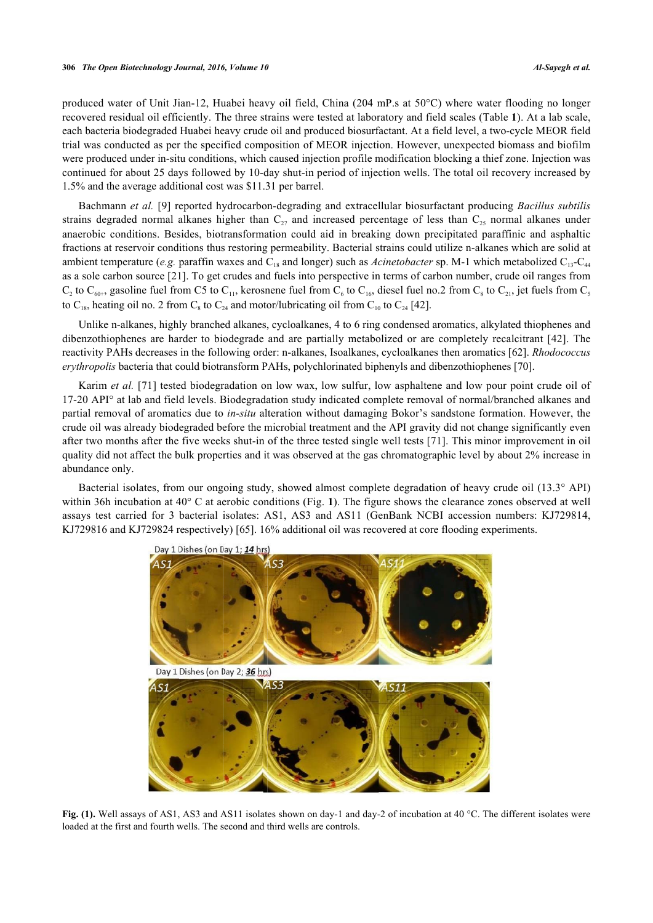produced water of Unit Jian-12, Huabei heavy oil field, China (204 mP.s at 50°C) where water flooding no longer recovered residual oil efficiently. The three strains were tested at laboratory and field scales [\(Table](#page-3-0) **[1](#page-3-0)**). At a lab scale, each bacteria biodegraded Huabei heavy crude oil and produced biosurfactant. At a field level, a two-cycle MEOR field trial was conducted as per the specified composition of MEOR injection. However, unexpected biomass and biofilm were produced under in-situ conditions, which caused injection profile modification blocking a thief zone. Injection was continued for about 25 days followed by 10-day shut-in period of injection wells. The total oil recovery increased by 1.5% and the average additional cost was \$11.31 per barrel.

Bachmann *et al.* [\[9](#page-7-3)] reported hydrocarbon-degrading and extracellular biosurfactant producing *Bacillus subtilis* strains degraded normal alkanes higher than  $C_{27}$  and increased percentage of less than  $C_{25}$  normal alkanes under anaerobic conditions. Besides, biotransformation could aid in breaking down precipitated paraffinic and asphaltic fractions at reservoir conditions thus restoring permeability. Bacterial strains could utilize n-alkanes which are solid at ambient temperature (*e.g.* paraffin waxes and  $C_{18}$  and longer) such as *Acinetobacter* sp. M-1 which metabolized  $C_{13}-C_{44}$ as a sole carbon source [\[21](#page-7-15)]. To get crudes and fuels into perspective in terms of carbon number, crude oil ranges from  $C_2$  to  $C_{60+}$ , gasoline fuel from C5 to  $C_{11}$ , kerosnene fuel from  $C_6$  to  $C_{16}$ , diesel fuel no.2 from  $C_8$  to  $C_{21}$ , jet fuels from  $C_5$ to C<sub>18</sub>, heating oil no. 2 from C<sub>8</sub> to C<sub>24</sub> and motor/lubricating oil from C<sub>10</sub> to C<sub>24</sub> [[42\]](#page-8-14).

Unlike n-alkanes, highly branched alkanes, cycloalkanes, 4 to 6 ring condensed aromatics, alkylated thiophenes and dibenzothiophenes are harder to biodegrade and are partially metabolized or are completely recalcitrant [[42\]](#page-8-14). The reactivity PAHs decreases in the following order: n-alkanes, Isoalkanes, cycloalkanes then aromatics [[62\]](#page-9-12). *Rhodococcus erythropolis* bacteria that could biotransform PAHs, polychlorinated biphenyls and dibenzothiophenes [[70\]](#page-10-0).

Karim *et al.* [\[71](#page-10-1)] tested biodegradation on low wax, low sulfur, low asphaltene and low pour point crude oil of 17-20 API° at lab and field levels. Biodegradation study indicated complete removal of normal/branched alkanes and partial removal of aromatics due to *in-situ* alteration without damaging Bokor's sandstone formation. However, the crude oil was already biodegraded before the microbial treatment and the API gravity did not change significantly even after two months after the five weeks shut-in of the three tested single well tests [[71](#page-10-1)]. This minor improvement in oil quality did not affect the bulk properties and it was observed at the gas chromatographic level by about 2% increase in abundance only.

<span id="page-5-0"></span>Bacterial isolates, from our ongoing study, showed almost complete degradation of heavy crude oil (13.3° API) within 36h incubation at 40° C at aerobic conditions (Fig. **[1](#page-5-0)**). The figure shows the clearance zones observed at well assays test carried for 3 bacterial isolates: AS1, AS3 and AS11 (GenBank NCBI accession numbers: KJ729814, KJ729816 and KJ729824 respectively) [\[65](#page-9-15)]. 16% additional oil was recovered at core flooding experiments.



**Fig. (1).** Well assays of AS1, AS3 and AS11 isolates shown on day-1 and day-2 of incubation at 40 °C. The different isolates were loaded at the first and fourth wells. The second and third wells are controls.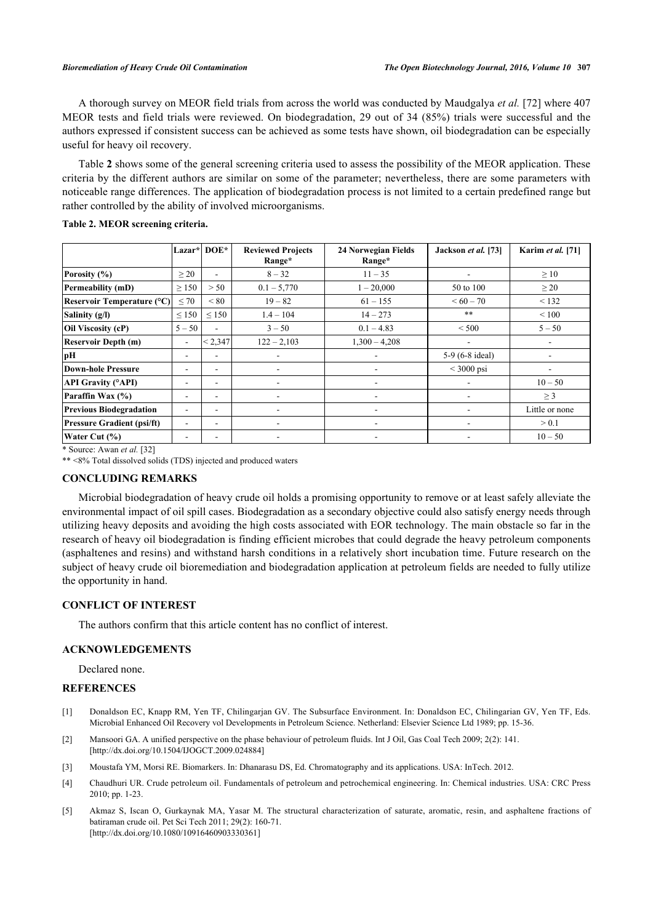A thorough survey on MEOR field trials from across the world was conducted by Maudgalya *et al.* [\[72](#page-10-2)] where 407 MEOR tests and field trials were reviewed. On biodegradation, 29 out of 34 (85%) trials were successful and the authors expressed if consistent success can be achieved as some tests have shown, oil biodegradation can be especially useful for heavy oil recovery.

Table **[2](#page-6-4)** shows some of the general screening criteria used to assess the possibility of the MEOR application. These criteria by the different authors are similar on some of the parameter; nevertheless, there are some parameters with noticeable range differences. The application of biodegradation process is not limited to a certain predefined range but rather controlled by the ability of involved microorganisms.

<span id="page-6-4"></span>

| Table 2. MEOR screening criteria. |
|-----------------------------------|
|-----------------------------------|

|                                   |                | <b>Lazar*  DOE*</b>      | <b>Reviewed Projects</b><br>Range* | 24 Norwegian Fields<br>Range* | Jackson et al. [73]     | Karim et al. [71] |
|-----------------------------------|----------------|--------------------------|------------------------------------|-------------------------------|-------------------------|-------------------|
| Porosity (%)                      | $\geq$ 20      | $\overline{\phantom{0}}$ | $8 - 32$                           | $11 - 35$                     | ٠                       | $\geq 10$         |
| Permeability (mD)                 | $\geq$ 150     | > 50                     | $0.1 - 5,770$                      | $1 - 20,000$                  | 50 to 100               | $\geq$ 20         |
| Reservoir Temperature (°C)        | $\leq 70$      | < 80                     | $19 - 82$                          | $61 - 155$                    | $<60-70$                | < 132             |
| Salinity (g/l)                    | $\leq 150$     | $\leq 150$               | $1.4 - 104$                        | $14 - 273$                    | $***$                   | < 100             |
| Oil Viscosity (cP)                | $5 - 50$       | $\overline{\phantom{a}}$ | $3 - 50$                           | $0.1 - 4.83$                  | ${}< 500$               | $5 - 50$          |
| <b>Reservoir Depth (m)</b>        | $\blacksquare$ | < 2,347                  | $122 - 2,103$                      | $1,300 - 4,208$               | ۰                       |                   |
| pН                                | ۰              | ۰                        |                                    | ۰                             | 5-9 (6-8 ideal)         |                   |
| Down-hole Pressure                | ۰.             | ۰.                       |                                    | ٠                             | $\leq 3000 \text{ psi}$ |                   |
| <b>API Gravity (°API)</b>         | ۰              | ۰                        | ٠                                  | $\overline{\phantom{a}}$      | ٠                       | $10 - 50$         |
| Paraffin Wax (%)                  | ۰              | ۰                        |                                    | ٠                             | ۰                       | $\geq$ 3          |
| <b>Previous Biodegradation</b>    | ۰.             | ۰                        | $\overline{\phantom{a}}$           | ۰                             | ۰                       | Little or none    |
| <b>Pressure Gradient (psi/ft)</b> | ۰.             | ۰.                       |                                    | -                             | ۰                       | > 0.1             |
| Water Cut (%)                     | -              | ۰                        |                                    | ۰                             | ٠                       | $10 - 50$         |

\* Source: Awan *et al.* [[32\]](#page-8-4)

\*\* <8% Total dissolved solids (TDS) injected and produced waters

### **CONCLUDING REMARKS**

Microbial biodegradation of heavy crude oil holds a promising opportunity to remove or at least safely alleviate the environmental impact of oil spill cases. Biodegradation as a secondary objective could also satisfy energy needs through utilizing heavy deposits and avoiding the high costs associated with EOR technology. The main obstacle so far in the research of heavy oil biodegradation is finding efficient microbes that could degrade the heavy petroleum components (asphaltenes and resins) and withstand harsh conditions in a relatively short incubation time. Future research on the subject of heavy crude oil bioremediation and biodegradation application at petroleum fields are needed to fully utilize the opportunity in hand.

## **CONFLICT OF INTEREST**

The authors confirm that this article content has no conflict of interest.

#### **ACKNOWLEDGEMENTS**

Declared none.

## **REFERENCES**

- <span id="page-6-0"></span>[1] Donaldson EC, Knapp RM, Yen TF, Chilingarjan GV. The Subsurface Environment. In: Donaldson EC, Chilingarian GV, Yen TF, Eds. Microbial Enhanced Oil Recovery vol Developments in Petroleum Science. Netherland: Elsevier Science Ltd 1989; pp. 15-36.
- <span id="page-6-3"></span>[2] Mansoori GA. A unified perspective on the phase behaviour of petroleum fluids. Int J Oil, Gas Coal Tech 2009; 2(2): 141. [\[http://dx.doi.org/10.1504/IJOGCT.2009.024884](http://dx.doi.org/10.1504/IJOGCT.2009.024884)]
- [3] Moustafa YM, Morsi RE. Biomarkers. In: Dhanarasu DS, Ed. Chromatography and its applications. USA: InTech. 2012.
- <span id="page-6-1"></span>[4] Chaudhuri UR. Crude petroleum oil. Fundamentals of petroleum and petrochemical engineering. In: Chemical industries. USA: CRC Press 2010; pp. 1-23.
- <span id="page-6-2"></span>[5] Akmaz S, Iscan O, Gurkaynak MA, Yasar M. The structural characterization of saturate, aromatic, resin, and asphaltene fractions of batiraman crude oil. Pet Sci Tech 2011; 29(2): 160-71. [\[http://dx.doi.org/10.1080/10916460903330361\]](http://dx.doi.org/10.1080/10916460903330361)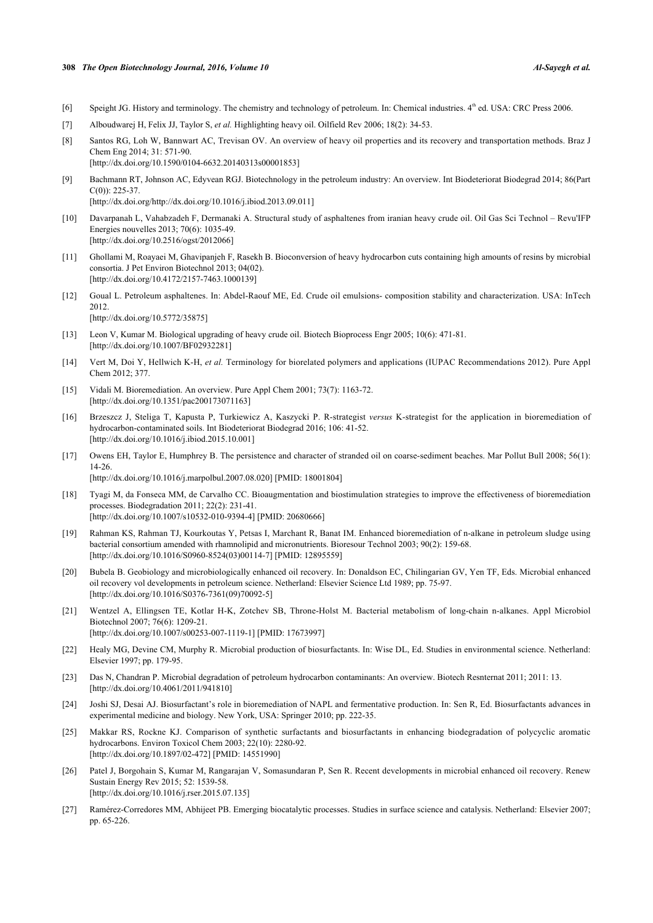#### **308** *The Open Biotechnology Journal, 2016, Volume 10 Al-Sayegh et al.*

- <span id="page-7-0"></span>[6] Speight JG. History and terminology. The chemistry and technology of petroleum. In: Chemical industries.  $4<sup>th</sup>$  ed. USA: CRC Press 2006.
- <span id="page-7-1"></span>[7] Alboudwarej H, Felix JJ, Taylor S, *et al.* Highlighting heavy oil. Oilfield Rev 2006; 18(2): 34-53.
- <span id="page-7-2"></span>[8] Santos RG, Loh W, Bannwart AC, Trevisan OV. An overview of heavy oil properties and its recovery and transportation methods. Braz J Chem Eng 2014; 31: 571-90. [\[http://dx.doi.org/10.1590/0104-6632.20140313s00001853\]](http://dx.doi.org/10.1590/0104-6632.20140313s00001853)
- <span id="page-7-3"></span>[9] Bachmann RT, Johnson AC, Edyvean RGJ. Biotechnology in the petroleum industry: An overview. Int Biodeteriorat Biodegrad 2014; 86(Part C(0)): 225-37. [\[http://dx.doi.org/http://dx.doi.org/10.1016/j.ibiod.2013.09.011\]](http://dx.doi.org/http://dx.doi.org/10.1016/j.ibiod.2013.09.011)
- <span id="page-7-4"></span>[10] Davarpanah L, Vahabzadeh F, Dermanaki A. Structural study of asphaltenes from iranian heavy crude oil. Oil Gas Sci Technol – Revu'IFP Energies nouvelles 2013; 70(6): 1035-49. [\[http://dx.doi.org/10.2516/ogst/2012066](http://dx.doi.org/10.2516/ogst/2012066)]
- <span id="page-7-5"></span>[11] Ghollami M, Roayaei M, Ghavipanjeh F, Rasekh B. Bioconversion of heavy hydrocarbon cuts containing high amounts of resins by microbial consortia. J Pet Environ Biotechnol 2013; 04(02). [\[http://dx.doi.org/10.4172/2157-7463.1000139](http://dx.doi.org/10.4172/2157-7463.1000139)]
- <span id="page-7-6"></span>[12] Goual L. Petroleum asphaltenes. In: Abdel-Raouf ME, Ed. Crude oil emulsions- composition stability and characterization. USA: InTech 2012. [\[http://dx.doi.org/10.5772/35875\]](http://dx.doi.org/10.5772/35875)
- <span id="page-7-7"></span>[13] Leon V, Kumar M. Biological upgrading of heavy crude oil. Biotech Bioprocess Engr 2005; 10(6): 471-81. [\[http://dx.doi.org/10.1007/BF02932281\]](http://dx.doi.org/10.1007/BF02932281)
- <span id="page-7-8"></span>[14] Vert M, Doi Y, Hellwich K-H, *et al.* Terminology for biorelated polymers and applications (IUPAC Recommendations 2012). Pure Appl Chem 2012; 377.
- <span id="page-7-9"></span>[15] Vidali M. Bioremediation. An overview. Pure Appl Chem 2001; 73(7): 1163-72. [\[http://dx.doi.org/10.1351/pac200173071163\]](http://dx.doi.org/10.1351/pac200173071163)
- <span id="page-7-10"></span>[16] Brzeszcz J, Steliga T, Kapusta P, Turkiewicz A, Kaszycki P. R-strategist *versus* K-strategist for the application in bioremediation of hydrocarbon-contaminated soils. Int Biodeteriorat Biodegrad 2016; 106: 41-52. [\[http://dx.doi.org/10.1016/j.ibiod.2015.10.001](http://dx.doi.org/10.1016/j.ibiod.2015.10.001)]
- <span id="page-7-11"></span>[17] Owens EH, Taylor E, Humphrey B. The persistence and character of stranded oil on coarse-sediment beaches. Mar Pollut Bull 2008; 56(1): 14-26. [\[http://dx.doi.org/10.1016/j.marpolbul.2007.08.020\]](http://dx.doi.org/10.1016/j.marpolbul.2007.08.020) [PMID: [18001804](http://www.ncbi.nlm.nih.gov/pubmed/18001804)]
- <span id="page-7-12"></span>[18] Tyagi M, da Fonseca MM, de Carvalho CC. Bioaugmentation and biostimulation strategies to improve the effectiveness of bioremediation processes. Biodegradation 2011; 22(2): 231-41. [\[http://dx.doi.org/10.1007/s10532-010-9394-4\]](http://dx.doi.org/10.1007/s10532-010-9394-4) [PMID: [20680666](http://www.ncbi.nlm.nih.gov/pubmed/20680666)]
- <span id="page-7-13"></span>[19] Rahman KS, Rahman TJ, Kourkoutas Y, Petsas I, Marchant R, Banat IM. Enhanced bioremediation of n-alkane in petroleum sludge using bacterial consortium amended with rhamnolipid and micronutrients. Bioresour Technol 2003; 90(2): 159-68. [\[http://dx.doi.org/10.1016/S0960-8524\(03\)00114-7\]](http://dx.doi.org/10.1016/S0960-8524(03)00114-7) [PMID: [12895559](http://www.ncbi.nlm.nih.gov/pubmed/12895559)]
- <span id="page-7-14"></span>[20] Bubela B. Geobiology and microbiologically enhanced oil recovery. In: Donaldson EC, Chilingarian GV, Yen TF, Eds. Microbial enhanced oil recovery vol developments in petroleum science. Netherland: Elsevier Science Ltd 1989; pp. 75-97. [\[http://dx.doi.org/10.1016/S0376-7361\(09\)70092-5\]](http://dx.doi.org/10.1016/S0376-7361(09)70092-5)
- <span id="page-7-15"></span>[21] Wentzel A, Ellingsen TE, Kotlar H-K, Zotchev SB, Throne-Holst M. Bacterial metabolism of long-chain n-alkanes. Appl Microbiol Biotechnol 2007; 76(6): 1209-21. [\[http://dx.doi.org/10.1007/s00253-007-1119-1\]](http://dx.doi.org/10.1007/s00253-007-1119-1) [PMID: [17673997](http://www.ncbi.nlm.nih.gov/pubmed/17673997)]
- <span id="page-7-16"></span>[22] Healy MG, Devine CM, Murphy R. Microbial production of biosurfactants. In: Wise DL, Ed. Studies in environmental science. Netherland: Elsevier 1997; pp. 179-95.
- <span id="page-7-17"></span>[23] Das N, Chandran P. Microbial degradation of petroleum hydrocarbon contaminants: An overview. Biotech Resnternat 2011; 2011: 13. [\[http://dx.doi.org/10.4061/2011/941810](http://dx.doi.org/10.4061/2011/941810)]
- <span id="page-7-18"></span>[24] Joshi SJ, Desai AJ. Biosurfactant's role in bioremediation of NAPL and fermentative production. In: Sen R, Ed. Biosurfactants advances in experimental medicine and biology. New York, USA: Springer 2010; pp. 222-35.
- <span id="page-7-19"></span>[25] Makkar RS, Rockne KJ. Comparison of synthetic surfactants and biosurfactants in enhancing biodegradation of polycyclic aromatic hydrocarbons. Environ Toxicol Chem 2003; 22(10): 2280-92. [\[http://dx.doi.org/10.1897/02-472](http://dx.doi.org/10.1897/02-472)] [PMID: [14551990](http://www.ncbi.nlm.nih.gov/pubmed/14551990)]
- <span id="page-7-20"></span>[26] Patel J, Borgohain S, Kumar M, Rangarajan V, Somasundaran P, Sen R. Recent developments in microbial enhanced oil recovery. Renew Sustain Energy Rev 2015; 52: 1539-58. [\[http://dx.doi.org/10.1016/j.rser.2015.07.135](http://dx.doi.org/10.1016/j.rser.2015.07.135)]
- <span id="page-7-21"></span>[27] Ramérez-Corredores MM, Abhijeet PB. Emerging biocatalytic processes. Studies in surface science and catalysis. Netherland: Elsevier 2007; pp. 65-226.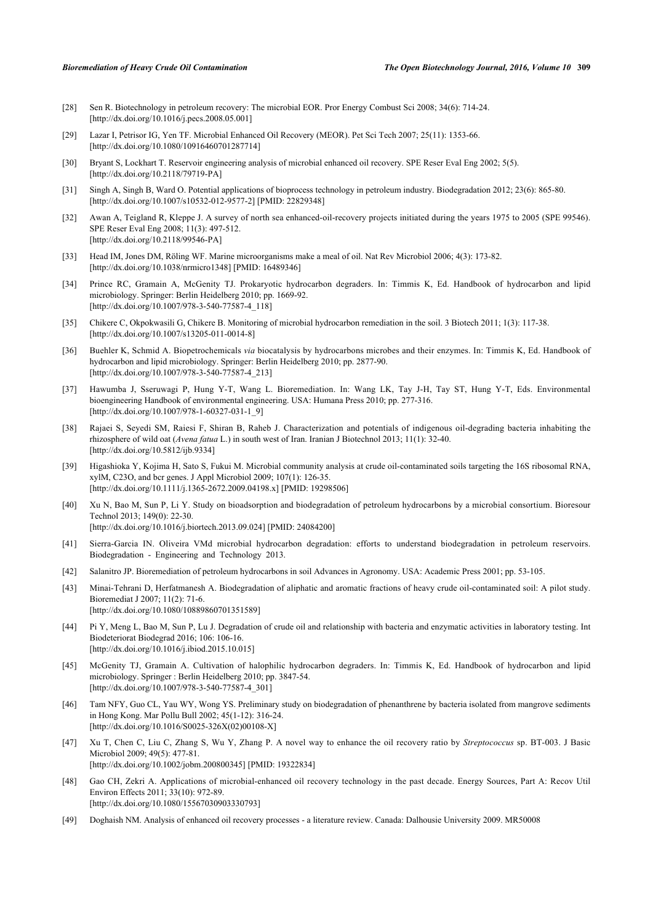- <span id="page-8-0"></span>[28] Sen R. Biotechnology in petroleum recovery: The microbial EOR. Pror Energy Combust Sci 2008; 34(6): 714-24. [\[http://dx.doi.org/10.1016/j.pecs.2008.05.001](http://dx.doi.org/10.1016/j.pecs.2008.05.001)]
- <span id="page-8-1"></span>[29] Lazar I, Petrisor IG, Yen TF. Microbial Enhanced Oil Recovery (MEOR). Pet Sci Tech 2007; 25(11): 1353-66. [\[http://dx.doi.org/10.1080/10916460701287714\]](http://dx.doi.org/10.1080/10916460701287714)
- <span id="page-8-2"></span>[30] Bryant S, Lockhart T. Reservoir engineering analysis of microbial enhanced oil recovery. SPE Reser Eval Eng 2002; 5(5). [\[http://dx.doi.org/10.2118/79719-PA\]](http://dx.doi.org/10.2118/79719-PA)
- <span id="page-8-3"></span>[31] Singh A, Singh B, Ward O. Potential applications of bioprocess technology in petroleum industry. Biodegradation 2012; 23(6): 865-80. [\[http://dx.doi.org/10.1007/s10532-012-9577-2\]](http://dx.doi.org/10.1007/s10532-012-9577-2) [PMID: [22829348](http://www.ncbi.nlm.nih.gov/pubmed/22829348)]
- <span id="page-8-4"></span>[32] Awan A, Teigland R, Kleppe J. A survey of north sea enhanced-oil-recovery projects initiated during the years 1975 to 2005 (SPE 99546). SPE Reser Eval Eng 2008; 11(3): 497-512. [\[http://dx.doi.org/10.2118/99546-PA\]](http://dx.doi.org/10.2118/99546-PA)
- <span id="page-8-5"></span>[33] Head IM, Jones DM, Röling WF. Marine microorganisms make a meal of oil. Nat Rev Microbiol 2006; 4(3): 173-82. [\[http://dx.doi.org/10.1038/nrmicro1348](http://dx.doi.org/10.1038/nrmicro1348)] [PMID: [16489346\]](http://www.ncbi.nlm.nih.gov/pubmed/16489346)
- <span id="page-8-6"></span>[34] Prince RC, Gramain A, McGenity TJ. Prokaryotic hydrocarbon degraders. In: Timmis K, Ed. Handbook of hydrocarbon and lipid microbiology. Springer: Berlin Heidelberg 2010; pp. 1669-92. [\[http://dx.doi.org/10.1007/978-3-540-77587-4\\_118](http://dx.doi.org/10.1007/978-3-540-77587-4_118)]
- <span id="page-8-7"></span>[35] Chikere C, Okpokwasili G, Chikere B. Monitoring of microbial hydrocarbon remediation in the soil. 3 Biotech 2011; 1(3): 117-38. [\[http://dx.doi.org/10.1007/s13205-011-0014-8\]](http://dx.doi.org/10.1007/s13205-011-0014-8)
- <span id="page-8-8"></span>[36] Buehler K, Schmid A. Biopetrochemicals *via* biocatalysis by hydrocarbons microbes and their enzymes. In: Timmis K, Ed. Handbook of hydrocarbon and lipid microbiology. Springer: Berlin Heidelberg 2010; pp. 2877-90. [\[http://dx.doi.org/10.1007/978-3-540-77587-4\\_213](http://dx.doi.org/10.1007/978-3-540-77587-4_213)]
- <span id="page-8-9"></span>[37] Hawumba J, Sseruwagi P, Hung Y-T, Wang L. Bioremediation. In: Wang LK, Tay J-H, Tay ST, Hung Y-T, Eds. Environmental bioengineering Handbook of environmental engineering. USA: Humana Press 2010; pp. 277-316. [\[http://dx.doi.org/10.1007/978-1-60327-031-1\\_9](http://dx.doi.org/10.1007/978-1-60327-031-1_9)]
- <span id="page-8-10"></span>[38] Rajaei S, Seyedi SM, Raiesi F, Shiran B, Raheb J. Characterization and potentials of indigenous oil-degrading bacteria inhabiting the rhizosphere of wild oat (*Avena fatua* L.) in south west of Iran. Iranian J Biotechnol 2013; 11(1): 32-40. [\[http://dx.doi.org/10.5812/ijb.9334](http://dx.doi.org/10.5812/ijb.9334)]
- <span id="page-8-11"></span>[39] Higashioka Y, Kojima H, Sato S, Fukui M. Microbial community analysis at crude oil-contaminated soils targeting the 16S ribosomal RNA, xylM, C23O, and bcr genes. J Appl Microbiol 2009; 107(1): 126-35. [\[http://dx.doi.org/10.1111/j.1365-2672.2009.04198.x\]](http://dx.doi.org/10.1111/j.1365-2672.2009.04198.x) [PMID: [19298506](http://www.ncbi.nlm.nih.gov/pubmed/19298506)]
- <span id="page-8-12"></span>[40] Xu N, Bao M, Sun P, Li Y. Study on bioadsorption and biodegradation of petroleum hydrocarbons by a microbial consortium. Bioresour Technol 2013; 149(0): 22-30. [\[http://dx.doi.org/10.1016/j.biortech.2013.09.024](http://dx.doi.org/10.1016/j.biortech.2013.09.024)] [PMID: [24084200\]](http://www.ncbi.nlm.nih.gov/pubmed/24084200)
- <span id="page-8-13"></span>[41] Sierra-Garcia IN. Oliveira VMd microbial hydrocarbon degradation: efforts to understand biodegradation in petroleum reservoirs. Biodegradation - Engineering and Technology 2013.
- <span id="page-8-14"></span>[42] Salanitro JP. Bioremediation of petroleum hydrocarbons in soil Advances in Agronomy. USA: Academic Press 2001; pp. 53-105.
- <span id="page-8-15"></span>[43] Minai-Tehrani D, Herfatmanesh A. Biodegradation of aliphatic and aromatic fractions of heavy crude oil-contaminated soil: A pilot study. Bioremediat J 2007; 11(2): 71-6. [\[http://dx.doi.org/10.1080/10889860701351589\]](http://dx.doi.org/10.1080/10889860701351589)
- <span id="page-8-16"></span>[44] Pi Y, Meng L, Bao M, Sun P, Lu J. Degradation of crude oil and relationship with bacteria and enzymatic activities in laboratory testing. Int Biodeteriorat Biodegrad 2016; 106: 106-16. [\[http://dx.doi.org/10.1016/j.ibiod.2015.10.015](http://dx.doi.org/10.1016/j.ibiod.2015.10.015)]
- <span id="page-8-17"></span>[45] McGenity TJ, Gramain A. Cultivation of halophilic hydrocarbon degraders. In: Timmis K, Ed. Handbook of hydrocarbon and lipid microbiology. Springer : Berlin Heidelberg 2010; pp. 3847-54. [\[http://dx.doi.org/10.1007/978-3-540-77587-4\\_301](http://dx.doi.org/10.1007/978-3-540-77587-4_301)]
- <span id="page-8-18"></span>[46] Tam NFY, Guo CL, Yau WY, Wong YS. Preliminary study on biodegradation of phenanthrene by bacteria isolated from mangrove sediments in Hong Kong. Mar Pollu Bull 2002; 45(1-12): 316-24. [\[http://dx.doi.org/10.1016/S0025-326X\(02\)00108-X](http://dx.doi.org/10.1016/S0025-326X(02)00108-X)]
- <span id="page-8-19"></span>[47] Xu T, Chen C, Liu C, Zhang S, Wu Y, Zhang P. A novel way to enhance the oil recovery ratio by *Streptococcus* sp. BT-003. J Basic Microbiol 2009; 49(5): 477-81. [\[http://dx.doi.org/10.1002/jobm.200800345](http://dx.doi.org/10.1002/jobm.200800345)] [PMID: [19322834\]](http://www.ncbi.nlm.nih.gov/pubmed/19322834)
- <span id="page-8-20"></span>[48] Gao CH, Zekri A. Applications of microbial-enhanced oil recovery technology in the past decade. Energy Sources, Part A: Recov Util Environ Effects 2011; 33(10): 972-89. [\[http://dx.doi.org/10.1080/15567030903330793\]](http://dx.doi.org/10.1080/15567030903330793)
- <span id="page-8-21"></span>[49] Doghaish NM. Analysis of enhanced oil recovery processes - a literature review. Canada: Dalhousie University 2009. MR50008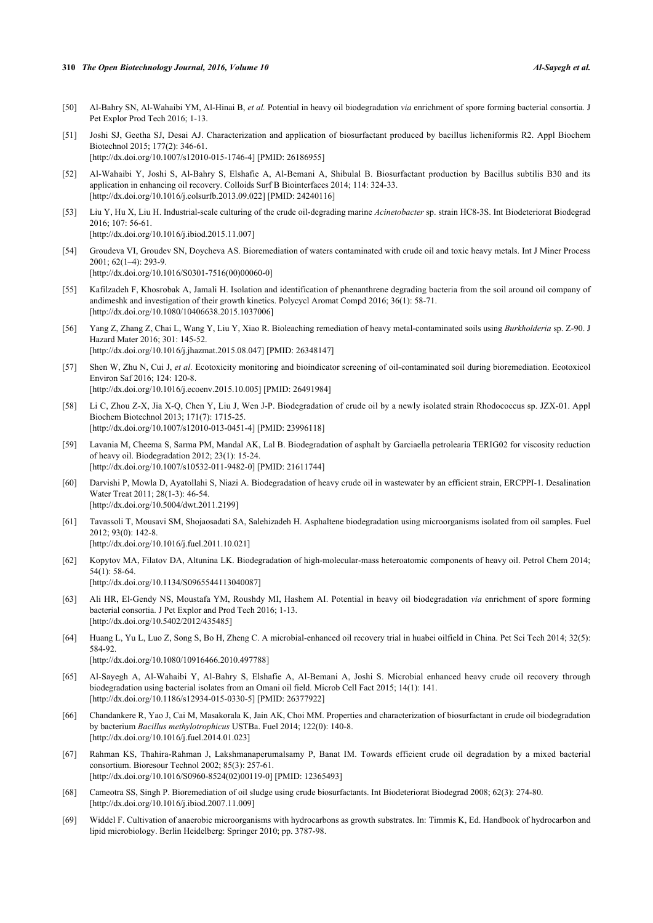#### **310** *The Open Biotechnology Journal, 2016, Volume 10 Al-Sayegh et al.*

- <span id="page-9-0"></span>[50] Al-Bahry SN, Al-Wahaibi YM, Al-Hinai B, *et al.* Potential in heavy oil biodegradation *via* enrichment of spore forming bacterial consortia. J Pet Explor Prod Tech 2016; 1-13.
- <span id="page-9-1"></span>[51] Joshi SJ, Geetha SJ, Desai AJ. Characterization and application of biosurfactant produced by bacillus licheniformis R2. Appl Biochem Biotechnol 2015; 177(2): 346-61.

[\[http://dx.doi.org/10.1007/s12010-015-1746-4\]](http://dx.doi.org/10.1007/s12010-015-1746-4) [PMID: [26186955](http://www.ncbi.nlm.nih.gov/pubmed/26186955)]

- <span id="page-9-2"></span>[52] Al-Wahaibi Y, Joshi S, Al-Bahry S, Elshafie A, Al-Bemani A, Shibulal B. Biosurfactant production by Bacillus subtilis B30 and its application in enhancing oil recovery. Colloids Surf B Biointerfaces 2014; 114: 324-33. [\[http://dx.doi.org/10.1016/j.colsurfb.2013.09.022](http://dx.doi.org/10.1016/j.colsurfb.2013.09.022)] [PMID: [24240116\]](http://www.ncbi.nlm.nih.gov/pubmed/24240116)
- <span id="page-9-3"></span>[53] Liu Y, Hu X, Liu H. Industrial-scale culturing of the crude oil-degrading marine *Acinetobacter* sp. strain HC8-3S. Int Biodeteriorat Biodegrad 2016; 107: 56-61.

[\[http://dx.doi.org/10.1016/j.ibiod.2015.11.007](http://dx.doi.org/10.1016/j.ibiod.2015.11.007)]

- <span id="page-9-4"></span>[54] Groudeva VI, Groudev SN, Doycheva AS. Bioremediation of waters contaminated with crude oil and toxic heavy metals. Int J Miner Process 2001; 62(1–4): 293-9. [\[http://dx.doi.org/10.1016/S0301-7516\(00\)00060-0\]](http://dx.doi.org/10.1016/S0301-7516(00)00060-0)
- <span id="page-9-5"></span>[55] Kafilzadeh F, Khosrobak A, Jamali H. Isolation and identification of phenanthrene degrading bacteria from the soil around oil company of andimeshk and investigation of their growth kinetics. Polycycl Aromat Compd 2016; 36(1): 58-71. [\[http://dx.doi.org/10.1080/10406638.2015.1037006\]](http://dx.doi.org/10.1080/10406638.2015.1037006)
- <span id="page-9-6"></span>[56] Yang Z, Zhang Z, Chai L, Wang Y, Liu Y, Xiao R. Bioleaching remediation of heavy metal-contaminated soils using *Burkholderia* sp. Z-90. J Hazard Mater 2016; 301: 145-52. [\[http://dx.doi.org/10.1016/j.jhazmat.2015.08.047](http://dx.doi.org/10.1016/j.jhazmat.2015.08.047)] [PMID: [26348147\]](http://www.ncbi.nlm.nih.gov/pubmed/26348147)
- <span id="page-9-7"></span>[57] Shen W, Zhu N, Cui J, *et al.* Ecotoxicity monitoring and bioindicator screening of oil-contaminated soil during bioremediation. Ecotoxicol Environ Saf 2016; 124: 120-8. [\[http://dx.doi.org/10.1016/j.ecoenv.2015.10.005\]](http://dx.doi.org/10.1016/j.ecoenv.2015.10.005) [PMID: [26491984](http://www.ncbi.nlm.nih.gov/pubmed/26491984)]
- <span id="page-9-8"></span>[58] Li C, Zhou Z-X, Jia X-Q, Chen Y, Liu J, Wen J-P. Biodegradation of crude oil by a newly isolated strain Rhodococcus sp. JZX-01. Appl Biochem Biotechnol 2013; 171(7): 1715-25. [\[http://dx.doi.org/10.1007/s12010-013-0451-4\]](http://dx.doi.org/10.1007/s12010-013-0451-4) [PMID: [23996118](http://www.ncbi.nlm.nih.gov/pubmed/23996118)]
- <span id="page-9-9"></span>[59] Lavania M, Cheema S, Sarma PM, Mandal AK, Lal B. Biodegradation of asphalt by Garciaella petrolearia TERIG02 for viscosity reduction of heavy oil. Biodegradation 2012; 23(1): 15-24. [\[http://dx.doi.org/10.1007/s10532-011-9482-0\]](http://dx.doi.org/10.1007/s10532-011-9482-0) [PMID: [21611744](http://www.ncbi.nlm.nih.gov/pubmed/21611744)]
- <span id="page-9-10"></span>[60] Darvishi P, Mowla D, Ayatollahi S, Niazi A. Biodegradation of heavy crude oil in wastewater by an efficient strain, ERCPPI-1. Desalination Water Treat 2011; 28(1-3): 46-54. [\[http://dx.doi.org/10.5004/dwt.2011.2199\]](http://dx.doi.org/10.5004/dwt.2011.2199)
- <span id="page-9-11"></span>[61] Tavassoli T, Mousavi SM, Shojaosadati SA, Salehizadeh H. Asphaltene biodegradation using microorganisms isolated from oil samples. Fuel 2012; 93(0): 142-8. [\[http://dx.doi.org/10.1016/j.fuel.2011.10.021](http://dx.doi.org/10.1016/j.fuel.2011.10.021)]
- <span id="page-9-12"></span>[62] Kopytov MA, Filatov DA, Altunina LK. Biodegradation of high-molecular-mass heteroatomic components of heavy oil. Petrol Chem 2014; 54(1): 58-64. [\[http://dx.doi.org/10.1134/S0965544113040087](http://dx.doi.org/10.1134/S0965544113040087)]
- <span id="page-9-13"></span>[63] Ali HR, El-Gendy NS, Moustafa YM, Roushdy MI, Hashem AI. Potential in heavy oil biodegradation *via* enrichment of spore forming bacterial consortia. J Pet Explor and Prod Tech 2016; 1-13. [\[http://dx.doi.org/10.5402/2012/435485](http://dx.doi.org/10.5402/2012/435485)]
- <span id="page-9-14"></span>[64] Huang L, Yu L, Luo Z, Song S, Bo H, Zheng C. A microbial-enhanced oil recovery trial in huabei oilfield in China. Pet Sci Tech 2014; 32(5): 584-92.

[\[http://dx.doi.org/10.1080/10916466.2010.497788\]](http://dx.doi.org/10.1080/10916466.2010.497788)

- <span id="page-9-15"></span>[65] Al-Sayegh A, Al-Wahaibi Y, Al-Bahry S, Elshafie A, Al-Bemani A, Joshi S. Microbial enhanced heavy crude oil recovery through biodegradation using bacterial isolates from an Omani oil field. Microb Cell Fact 2015; 14(1): 141. [\[http://dx.doi.org/10.1186/s12934-015-0330-5\]](http://dx.doi.org/10.1186/s12934-015-0330-5) [PMID: [26377922](http://www.ncbi.nlm.nih.gov/pubmed/26377922)]
- <span id="page-9-16"></span>[66] Chandankere R, Yao J, Cai M, Masakorala K, Jain AK, Choi MM. Properties and characterization of biosurfactant in crude oil biodegradation by bacterium *Bacillus methylotrophicus* USTBa. Fuel 2014; 122(0): 140-8. [\[http://dx.doi.org/10.1016/j.fuel.2014.01.023](http://dx.doi.org/10.1016/j.fuel.2014.01.023)]
- <span id="page-9-17"></span>[67] Rahman KS, Thahira-Rahman J, Lakshmanaperumalsamy P, Banat IM. Towards efficient crude oil degradation by a mixed bacterial consortium. Bioresour Technol 2002; 85(3): 257-61. [\[http://dx.doi.org/10.1016/S0960-8524\(02\)00119-0\]](http://dx.doi.org/10.1016/S0960-8524(02)00119-0) [PMID: [12365493](http://www.ncbi.nlm.nih.gov/pubmed/12365493)]
- <span id="page-9-18"></span>[68] Cameotra SS, Singh P. Bioremediation of oil sludge using crude biosurfactants. Int Biodeteriorat Biodegrad 2008; 62(3): 274-80. [\[http://dx.doi.org/10.1016/j.ibiod.2007.11.009](http://dx.doi.org/10.1016/j.ibiod.2007.11.009)]
- <span id="page-9-19"></span>[69] Widdel F. Cultivation of anaerobic microorganisms with hydrocarbons as growth substrates. In: Timmis K, Ed. Handbook of hydrocarbon and lipid microbiology. Berlin Heidelberg: Springer 2010; pp. 3787-98.